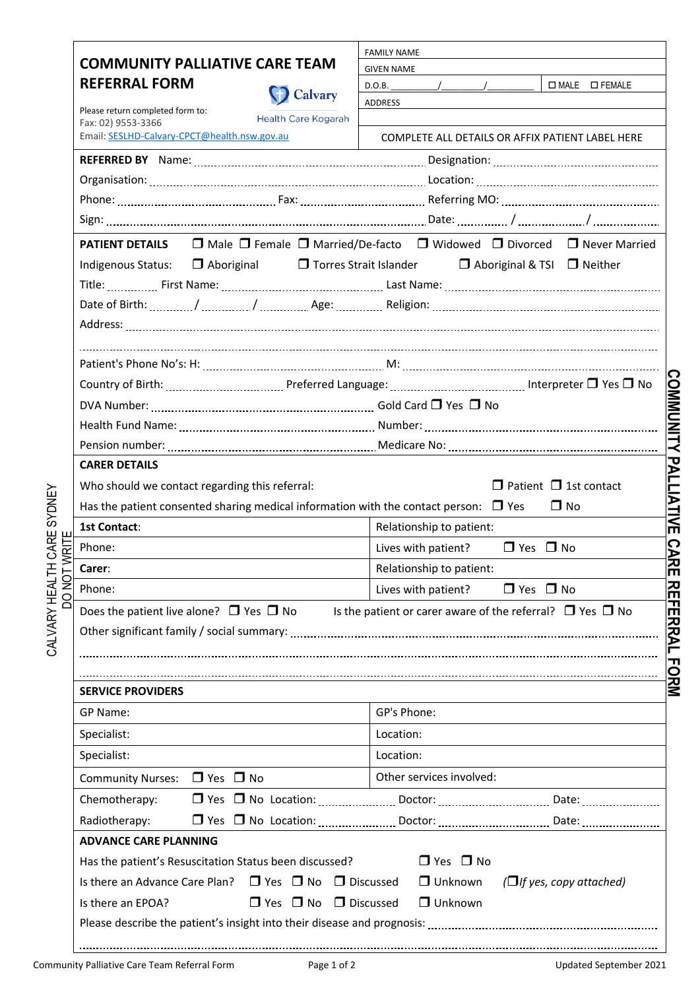| <b>COMMUNITY PALLIATIVE CARE TEAM</b><br><b>REFERRAL FORM</b><br><b>D</b> Calvary            | <b>FAMILY NAME</b>                                                                                                           |
|----------------------------------------------------------------------------------------------|------------------------------------------------------------------------------------------------------------------------------|
|                                                                                              | <b>GIVEN NAME</b>                                                                                                            |
|                                                                                              | □ MALE □ FEMALE<br>$D.O.B.$ / /                                                                                              |
| Please return completed form to:                                                             | ADDRESS                                                                                                                      |
| Health Care Kogarah<br>Fax: 02) 9553-3366                                                    |                                                                                                                              |
| Email: SESLHD-Calvary-CPCT@health.nsw.gov.au                                                 | COMPLETE ALL DETAILS OR AFFIX PATIENT LABEL HERE                                                                             |
|                                                                                              |                                                                                                                              |
|                                                                                              |                                                                                                                              |
|                                                                                              |                                                                                                                              |
|                                                                                              |                                                                                                                              |
|                                                                                              | <b>PATIENT DETAILS</b> $\Box$ Male $\Box$ Female $\Box$ Married/De-facto $\Box$ Widowed $\Box$ Divorced $\Box$ Never Married |
| Indigenous Status: □ Aboriginal                                                              | $\Box$ Torres Strait Islander $\Box$ Aboriginal & TSI $\Box$ Neither                                                         |
|                                                                                              |                                                                                                                              |
|                                                                                              |                                                                                                                              |
|                                                                                              |                                                                                                                              |
|                                                                                              |                                                                                                                              |
|                                                                                              |                                                                                                                              |
|                                                                                              |                                                                                                                              |
|                                                                                              |                                                                                                                              |
|                                                                                              |                                                                                                                              |
|                                                                                              |                                                                                                                              |
| <b>CARER DETAILS</b>                                                                         |                                                                                                                              |
| Who should we contact regarding this referral:                                               | $\Box$ Patient $\Box$ 1st contact                                                                                            |
| Has the patient consented sharing medical information with the contact person: $\square$ Yes | $\square$ No                                                                                                                 |
| <b>1st Contact:</b>                                                                          | Relationship to patient:                                                                                                     |
| Phone:                                                                                       | Lives with patient? $\Box$ Yes $\Box$ No                                                                                     |
| Carer:                                                                                       | Relationship to patient:                                                                                                     |
| Phone:                                                                                       | $\Box$ Yes $\Box$ No<br>Lives with patient?                                                                                  |
| Does the patient live alone? $\Box$ Yes $\Box$ No                                            | Is the patient or carer aware of the referral? $\Box$ Yes $\Box$ No                                                          |
|                                                                                              |                                                                                                                              |
|                                                                                              |                                                                                                                              |
|                                                                                              |                                                                                                                              |
|                                                                                              |                                                                                                                              |
| <b>SERVICE PROVIDERS</b>                                                                     |                                                                                                                              |
|                                                                                              |                                                                                                                              |
| GP Name:                                                                                     | GP's Phone:                                                                                                                  |
| Specialist:                                                                                  | Location:                                                                                                                    |
| Specialist:                                                                                  | Location:                                                                                                                    |
| Community Nurses: □ Yes □ No                                                                 | Other services involved:                                                                                                     |
| Chemotherapy:                                                                                |                                                                                                                              |
| Radiotherapy:                                                                                |                                                                                                                              |
| <b>ADVANCE CARE PLANNING</b>                                                                 |                                                                                                                              |
| Has the patient's Resuscitation Status been discussed?                                       | $\Box$ Yes $\Box$ No                                                                                                         |
| Is there an Advance Care Plan?<br>$\Box$ Yes $\Box$ No $\Box$ Discussed                      | $\Box$ Unknown<br>$(\Box$ if yes, copy attached)                                                                             |
| $\Box$ Yes $\Box$ No $\Box$ Discussed<br>Is there an EPOA?                                   | $\Box$ Unknown                                                                                                               |